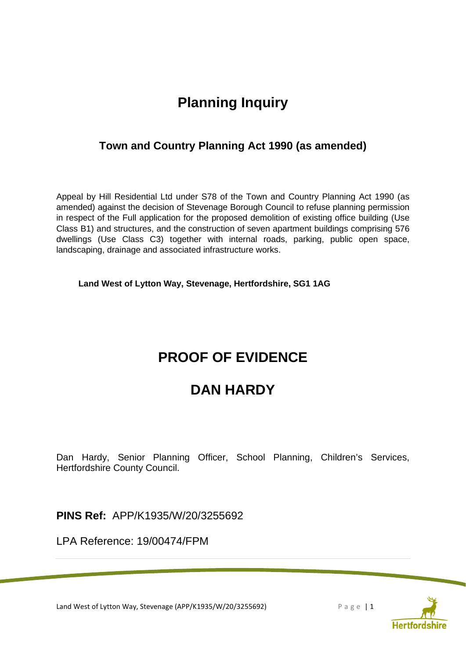# **Planning Inquiry**

## **Town and Country Planning Act 1990 (as amended)**

Appeal by Hill Residential Ltd under S78 of the Town and Country Planning Act 1990 (as amended) against the decision of Stevenage Borough Council to refuse planning permission in respect of the Full application for the proposed demolition of existing office building (Use Class B1) and structures, and the construction of seven apartment buildings comprising 576 dwellings (Use Class C3) together with internal roads, parking, public open space, landscaping, drainage and associated infrastructure works.

**Land West of Lytton Way, Stevenage, Hertfordshire, SG1 1AG** 

# **PROOF OF EVIDENCE**

# **DAN HARDY**

Dan Hardy, Senior Planning Officer, School Planning, Children's Services, Hertfordshire County Council.

**PINS Ref:** APP/K1935/W/20/3255692

LPA Reference: 19/00474/FPM

Land West of Lytton Way, Stevenage (APP/K1935/W/20/3255692) P a g e | 1

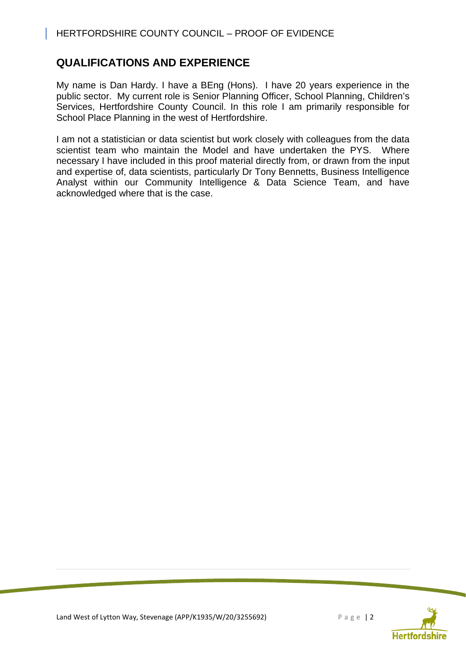## HERTFORDSHIRE COUNTY COUNCIL – PROOF OF EVIDENCE

## **QUALIFICATIONS AND EXPERIENCE**

My name is Dan Hardy. I have a BEng (Hons). I have 20 years experience in the public sector. My current role is Senior Planning Officer, School Planning, Children's Services, Hertfordshire County Council. In this role I am primarily responsible for School Place Planning in the west of Hertfordshire.

I am not a statistician or data scientist but work closely with colleagues from the data scientist team who maintain the Model and have undertaken the PYS. Where necessary I have included in this proof material directly from, or drawn from the input and expertise of, data scientists, particularly Dr Tony Bennetts, Business Intelligence Analyst within our Community Intelligence & Data Science Team, and have acknowledged where that is the case.

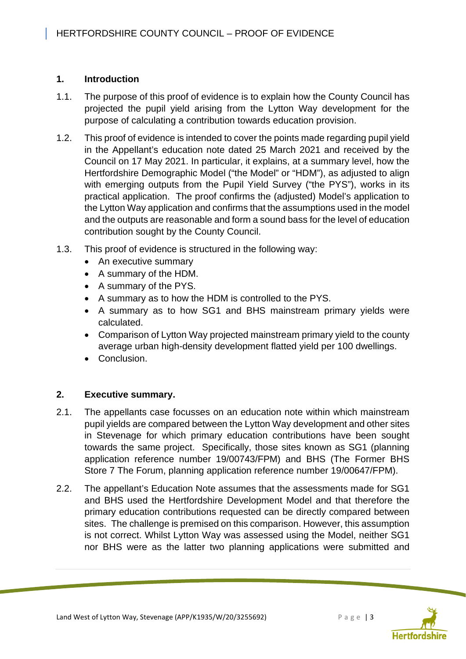## **1. Introduction**

- 1.1. The purpose of this proof of evidence is to explain how the County Council has projected the pupil yield arising from the Lytton Way development for the purpose of calculating a contribution towards education provision.
- 1.2. This proof of evidence is intended to cover the points made regarding pupil yield in the Appellant's education note dated 25 March 2021 and received by the Council on 17 May 2021. In particular, it explains, at a summary level, how the Hertfordshire Demographic Model ("the Model" or "HDM"), as adjusted to align with emerging outputs from the Pupil Yield Survey ("the PYS"), works in its practical application. The proof confirms the (adjusted) Model's application to the Lytton Way application and confirms that the assumptions used in the model and the outputs are reasonable and form a sound bass for the level of education contribution sought by the County Council.
- 1.3. This proof of evidence is structured in the following way:
	- An executive summary
	- A summary of the HDM.
	- A summary of the PYS.
	- A summary as to how the HDM is controlled to the PYS.
	- A summary as to how SG1 and BHS mainstream primary yields were calculated.
	- Comparison of Lytton Way projected mainstream primary yield to the county average urban high-density development flatted yield per 100 dwellings.
	- Conclusion.

## **2. Executive summary.**

- 2.1. The appellants case focusses on an education note within which mainstream pupil yields are compared between the Lytton Way development and other sites in Stevenage for which primary education contributions have been sought towards the same project. Specifically, those sites known as SG1 (planning application reference number 19/00743/FPM) and BHS (The Former BHS Store 7 The Forum, planning application reference number 19/00647/FPM).
- 2.2. The appellant's Education Note assumes that the assessments made for SG1 and BHS used the Hertfordshire Development Model and that therefore the primary education contributions requested can be directly compared between sites. The challenge is premised on this comparison. However, this assumption is not correct. Whilst Lytton Way was assessed using the Model, neither SG1 nor BHS were as the latter two planning applications were submitted and

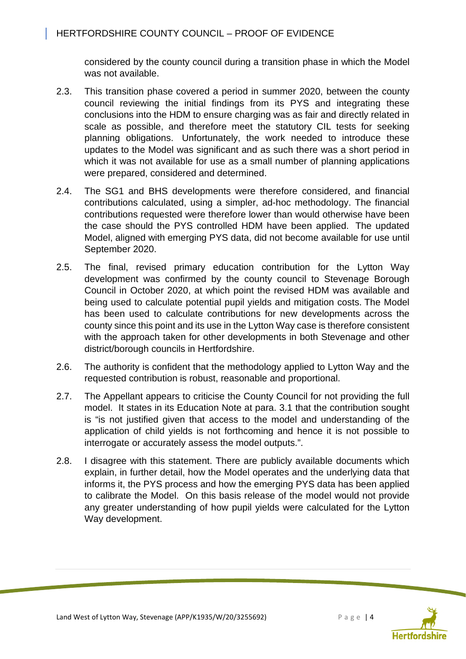considered by the county council during a transition phase in which the Model was not available.

- 2.3. This transition phase covered a period in summer 2020, between the county council reviewing the initial findings from its PYS and integrating these conclusions into the HDM to ensure charging was as fair and directly related in scale as possible, and therefore meet the statutory CIL tests for seeking planning obligations. Unfortunately, the work needed to introduce these updates to the Model was significant and as such there was a short period in which it was not available for use as a small number of planning applications were prepared, considered and determined.
- 2.4. The SG1 and BHS developments were therefore considered, and financial contributions calculated, using a simpler, ad-hoc methodology. The financial contributions requested were therefore lower than would otherwise have been the case should the PYS controlled HDM have been applied. The updated Model, aligned with emerging PYS data, did not become available for use until September 2020.
- 2.5. The final, revised primary education contribution for the Lytton Way development was confirmed by the county council to Stevenage Borough Council in October 2020, at which point the revised HDM was available and being used to calculate potential pupil yields and mitigation costs. The Model has been used to calculate contributions for new developments across the county since this point and its use in the Lytton Way case is therefore consistent with the approach taken for other developments in both Stevenage and other district/borough councils in Hertfordshire.
- 2.6. The authority is confident that the methodology applied to Lytton Way and the requested contribution is robust, reasonable and proportional.
- 2.7. The Appellant appears to criticise the County Council for not providing the full model. It states in its Education Note at para. 3.1 that the contribution sought is "is not justified given that access to the model and understanding of the application of child yields is not forthcoming and hence it is not possible to interrogate or accurately assess the model outputs.".
- 2.8. I disagree with this statement. There are publicly available documents which explain, in further detail, how the Model operates and the underlying data that informs it, the PYS process and how the emerging PYS data has been applied to calibrate the Model. On this basis release of the model would not provide any greater understanding of how pupil yields were calculated for the Lytton Way development.

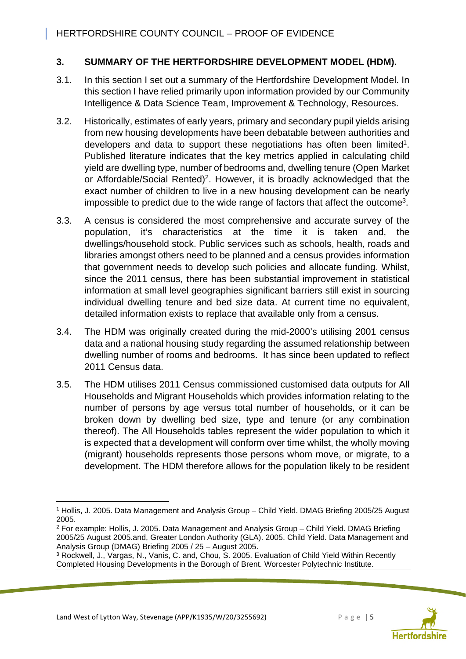## **3. SUMMARY OF THE HERTFORDSHIRE DEVELOPMENT MODEL (HDM).**

- 3.1. In this section I set out a summary of the Hertfordshire Development Model. In this section I have relied primarily upon information provided by our Community Intelligence & Data Science Team, Improvement & Technology, Resources.
- 3.2. Historically, estimates of early years, primary and secondary pupil yields arising from new housing developments have been debatable between authorities and developers and data to support these negotiations has often been limited<sup>1</sup>. Published literature indicates that the key metrics applied in calculating child yield are dwelling type, number of bedrooms and, dwelling tenure (Open Market or Affordable/Social Rented)<sup>2</sup>. However, it is broadly acknowledged that the exact number of children to live in a new housing development can be nearly impossible to predict due to the wide range of factors that affect the outcome<sup>3</sup>.
- 3.3. A census is considered the most comprehensive and accurate survey of the population, it's characteristics at the time it is taken and, the dwellings/household stock. Public services such as schools, health, roads and libraries amongst others need to be planned and a census provides information that government needs to develop such policies and allocate funding. Whilst, since the 2011 census, there has been substantial improvement in statistical information at small level geographies significant barriers still exist in sourcing individual dwelling tenure and bed size data. At current time no equivalent, detailed information exists to replace that available only from a census.
- 3.4. The HDM was originally created during the mid-2000's utilising 2001 census data and a national housing study regarding the assumed relationship between dwelling number of rooms and bedrooms. It has since been updated to reflect 2011 Census data.
- 3.5. The HDM utilises 2011 Census commissioned customised data outputs for All Households and Migrant Households which provides information relating to the number of persons by age versus total number of households, or it can be broken down by dwelling bed size, type and tenure (or any combination thereof). The All Households tables represent the wider population to which it is expected that a development will conform over time whilst, the wholly moving (migrant) households represents those persons whom move, or migrate, to a development. The HDM therefore allows for the population likely to be resident





<sup>1</sup> Hollis, J. 2005. Data Management and Analysis Group – Child Yield. DMAG Briefing 2005/25 August 2005.

<sup>2</sup> For example: Hollis, J. 2005. Data Management and Analysis Group – Child Yield. DMAG Briefing 2005/25 August 2005.and, Greater London Authority (GLA). 2005. Child Yield. Data Management and Analysis Group (DMAG) Briefing 2005 / 25 – August 2005.

<sup>&</sup>lt;sup>3</sup> Rockwell, J., Vargas, N., Vanis, C. and, Chou, S. 2005. Evaluation of Child Yield Within Recently Completed Housing Developments in the Borough of Brent. Worcester Polytechnic Institute.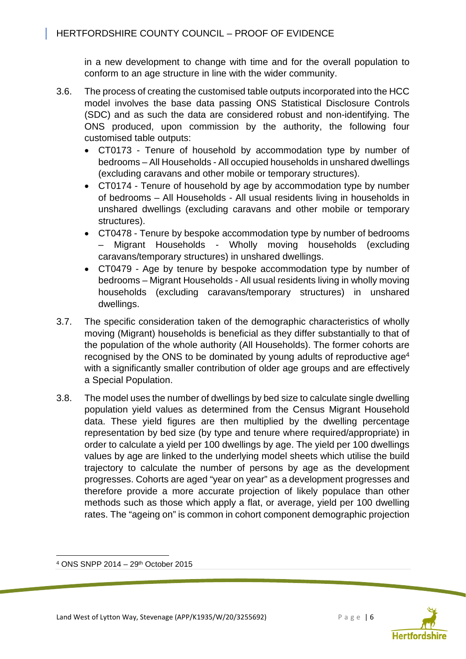in a new development to change with time and for the overall population to conform to an age structure in line with the wider community.

- 3.6. The process of creating the customised table outputs incorporated into the HCC model involves the base data passing ONS Statistical Disclosure Controls (SDC) and as such the data are considered robust and non-identifying. The ONS produced, upon commission by the authority, the following four customised table outputs:
	- CT0173 Tenure of household by accommodation type by number of bedrooms – All Households - All occupied households in unshared dwellings (excluding caravans and other mobile or temporary structures).
	- CT0174 Tenure of household by age by accommodation type by number of bedrooms – All Households - All usual residents living in households in unshared dwellings (excluding caravans and other mobile or temporary structures).
	- CT0478 Tenure by bespoke accommodation type by number of bedrooms – Migrant Households - Wholly moving households (excluding caravans/temporary structures) in unshared dwellings.
	- CT0479 Age by tenure by bespoke accommodation type by number of bedrooms – Migrant Households - All usual residents living in wholly moving households (excluding caravans/temporary structures) in unshared dwellings.
- 3.7. The specific consideration taken of the demographic characteristics of wholly moving (Migrant) households is beneficial as they differ substantially to that of the population of the whole authority (All Households). The former cohorts are recognised by the ONS to be dominated by young adults of reproductive age<sup>4</sup> with a significantly smaller contribution of older age groups and are effectively a Special Population.
- 3.8. The model uses the number of dwellings by bed size to calculate single dwelling population yield values as determined from the Census Migrant Household data. These yield figures are then multiplied by the dwelling percentage representation by bed size (by type and tenure where required/appropriate) in order to calculate a yield per 100 dwellings by age. The yield per 100 dwellings values by age are linked to the underlying model sheets which utilise the build trajectory to calculate the number of persons by age as the development progresses. Cohorts are aged "year on year" as a development progresses and therefore provide a more accurate projection of likely populace than other methods such as those which apply a flat, or average, yield per 100 dwelling rates. The "ageing on" is common in cohort component demographic projection



<sup>4</sup> ONS SNPP 2014 – 29th October 2015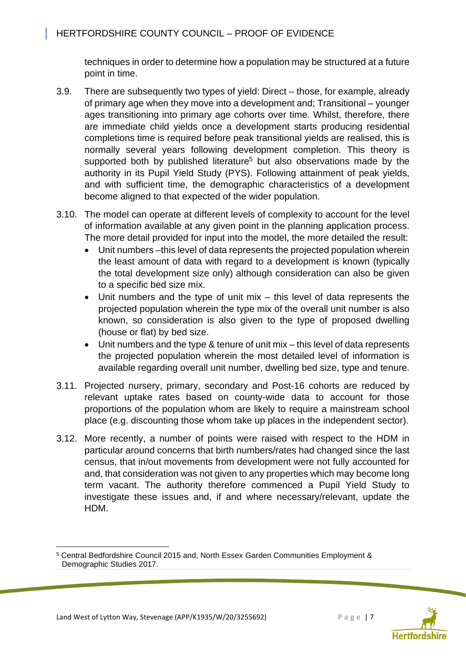techniques in order to determine how a population may be structured at a future point in time.

- 3.9. There are subsequently two types of yield: Direct those, for example, already of primary age when they move into a development and; Transitional – younger ages transitioning into primary age cohorts over time. Whilst, therefore, there are immediate child yields once a development starts producing residential completions time is required before peak transitional yields are realised, this is normally several years following development completion. This theory is supported both by published literature<sup>5</sup> but also observations made by the authority in its Pupil Yield Study (PYS). Following attainment of peak yields, and with sufficient time, the demographic characteristics of a development become aligned to that expected of the wider population.
- 3.10. The model can operate at different levels of complexity to account for the level of information available at any given point in the planning application process. The more detail provided for input into the model, the more detailed the result:
	- Unit numbers –this level of data represents the projected population wherein the least amount of data with regard to a development is known (typically the total development size only) although consideration can also be given to a specific bed size mix.
	- Unit numbers and the type of unit mix this level of data represents the projected population wherein the type mix of the overall unit number is also known, so consideration is also given to the type of proposed dwelling (house or flat) by bed size.
	- Unit numbers and the type & tenure of unit mix this level of data represents the projected population wherein the most detailed level of information is available regarding overall unit number, dwelling bed size, type and tenure.
- 3.11. Projected nursery, primary, secondary and Post-16 cohorts are reduced by relevant uptake rates based on county-wide data to account for those proportions of the population whom are likely to require a mainstream school place (e.g. discounting those whom take up places in the independent sector).
- 3.12. More recently, a number of points were raised with respect to the HDM in particular around concerns that birth numbers/rates had changed since the last census, that in/out movements from development were not fully accounted for and, that consideration was not given to any properties which may become long term vacant. The authority therefore commenced a Pupil Yield Study to investigate these issues and, if and where necessary/relevant, update the HDM.



<sup>5</sup> Central Bedfordshire Council 2015 and, North Essex Garden Communities Employment & Demographic Studies 2017.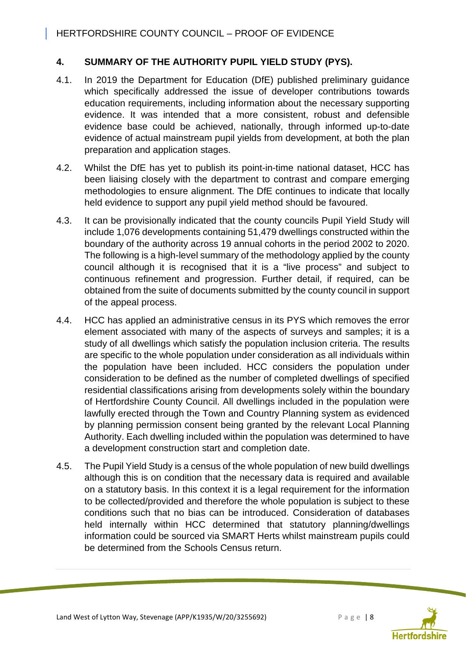## **4. SUMMARY OF THE AUTHORITY PUPIL YIELD STUDY (PYS).**

- 4.1. In 2019 the Department for Education (DfE) published preliminary guidance which specifically addressed the issue of developer contributions towards education requirements, including information about the necessary supporting evidence. It was intended that a more consistent, robust and defensible evidence base could be achieved, nationally, through informed up-to-date evidence of actual mainstream pupil yields from development, at both the plan preparation and application stages.
- 4.2. Whilst the DfE has yet to publish its point-in-time national dataset, HCC has been liaising closely with the department to contrast and compare emerging methodologies to ensure alignment. The DfE continues to indicate that locally held evidence to support any pupil yield method should be favoured.
- 4.3. It can be provisionally indicated that the county councils Pupil Yield Study will include 1,076 developments containing 51,479 dwellings constructed within the boundary of the authority across 19 annual cohorts in the period 2002 to 2020. The following is a high-level summary of the methodology applied by the county council although it is recognised that it is a "live process" and subject to continuous refinement and progression. Further detail, if required, can be obtained from the suite of documents submitted by the county council in support of the appeal process.
- 4.4. HCC has applied an administrative census in its PYS which removes the error element associated with many of the aspects of surveys and samples; it is a study of all dwellings which satisfy the population inclusion criteria. The results are specific to the whole population under consideration as all individuals within the population have been included. HCC considers the population under consideration to be defined as the number of completed dwellings of specified residential classifications arising from developments solely within the boundary of Hertfordshire County Council. All dwellings included in the population were lawfully erected through the Town and Country Planning system as evidenced by planning permission consent being granted by the relevant Local Planning Authority. Each dwelling included within the population was determined to have a development construction start and completion date.
- 4.5. The Pupil Yield Study is a census of the whole population of new build dwellings although this is on condition that the necessary data is required and available on a statutory basis. In this context it is a legal requirement for the information to be collected/provided and therefore the whole population is subject to these conditions such that no bias can be introduced. Consideration of databases held internally within HCC determined that statutory planning/dwellings information could be sourced via SMART Herts whilst mainstream pupils could be determined from the Schools Census return.

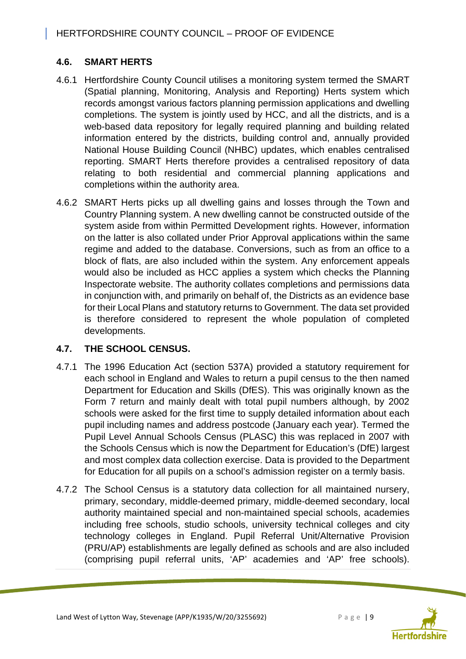## **4.6. SMART HERTS**

- 4.6.1 Hertfordshire County Council utilises a monitoring system termed the SMART (Spatial planning, Monitoring, Analysis and Reporting) Herts system which records amongst various factors planning permission applications and dwelling completions. The system is jointly used by HCC, and all the districts, and is a web-based data repository for legally required planning and building related information entered by the districts, building control and, annually provided National House Building Council (NHBC) updates, which enables centralised reporting. SMART Herts therefore provides a centralised repository of data relating to both residential and commercial planning applications and completions within the authority area.
- 4.6.2 SMART Herts picks up all dwelling gains and losses through the Town and Country Planning system. A new dwelling cannot be constructed outside of the system aside from within Permitted Development rights. However, information on the latter is also collated under Prior Approval applications within the same regime and added to the database. Conversions, such as from an office to a block of flats, are also included within the system. Any enforcement appeals would also be included as HCC applies a system which checks the Planning Inspectorate website. The authority collates completions and permissions data in conjunction with, and primarily on behalf of, the Districts as an evidence base for their Local Plans and statutory returns to Government. The data set provided is therefore considered to represent the whole population of completed developments.

## **4.7. THE SCHOOL CENSUS.**

- 4.7.1 The 1996 Education Act (section 537A) provided a statutory requirement for each school in England and Wales to return a pupil census to the then named Department for Education and Skills (DfES). This was originally known as the Form 7 return and mainly dealt with total pupil numbers although, by 2002 schools were asked for the first time to supply detailed information about each pupil including names and address postcode (January each year). Termed the Pupil Level Annual Schools Census (PLASC) this was replaced in 2007 with the Schools Census which is now the Department for Education's (DfE) largest and most complex data collection exercise. Data is provided to the Department for Education for all pupils on a school's admission register on a termly basis.
- 4.7.2 The School Census is a statutory data collection for all maintained nursery, primary, secondary, middle-deemed primary, middle-deemed secondary, local authority maintained special and non-maintained special schools, academies including free schools, studio schools, university technical colleges and city technology colleges in England. Pupil Referral Unit/Alternative Provision (PRU/AP) establishments are legally defined as schools and are also included (comprising pupil referral units, 'AP' academies and 'AP' free schools).

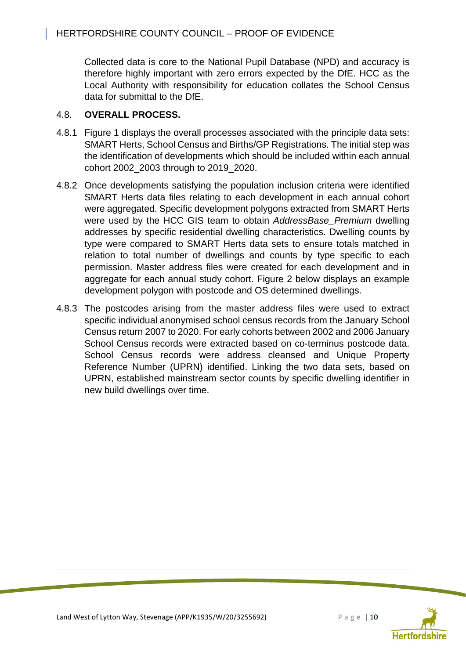Collected data is core to the National Pupil Database (NPD) and accuracy is therefore highly important with zero errors expected by the DfE. HCC as the Local Authority with responsibility for education collates the School Census data for submittal to the DfE.

## 4.8. **OVERALL PROCESS.**

- 4.8.1 Figure 1 displays the overall processes associated with the principle data sets: SMART Herts, School Census and Births/GP Registrations. The initial step was the identification of developments which should be included within each annual cohort 2002\_2003 through to 2019\_2020.
- 4.8.2 Once developments satisfying the population inclusion criteria were identified SMART Herts data files relating to each development in each annual cohort were aggregated. Specific development polygons extracted from SMART Herts were used by the HCC GIS team to obtain *AddressBase\_Premium* dwelling addresses by specific residential dwelling characteristics. Dwelling counts by type were compared to SMART Herts data sets to ensure totals matched in relation to total number of dwellings and counts by type specific to each permission. Master address files were created for each development and in aggregate for each annual study cohort. Figure 2 below displays an example development polygon with postcode and OS determined dwellings.
- 4.8.3 The postcodes arising from the master address files were used to extract specific individual anonymised school census records from the January School Census return 2007 to 2020. For early cohorts between 2002 and 2006 January School Census records were extracted based on co-terminus postcode data. School Census records were address cleansed and Unique Property Reference Number (UPRN) identified. Linking the two data sets, based on UPRN, established mainstream sector counts by specific dwelling identifier in new build dwellings over time.

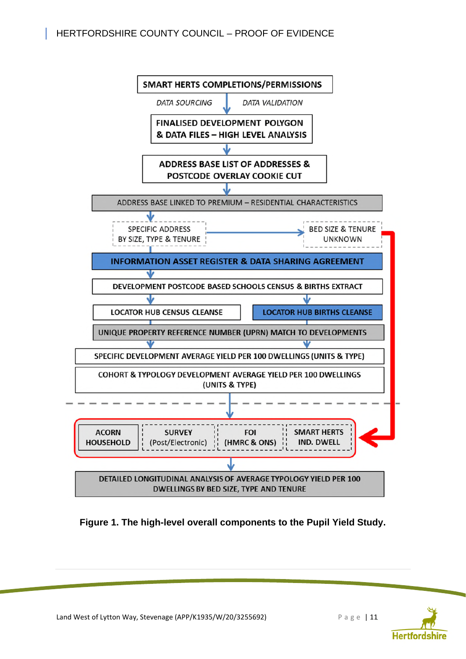## HERTFORDSHIRE COUNTY COUNCIL – PROOF OF EVIDENCE



**Figure 1. The high-level overall components to the Pupil Yield Study.** 

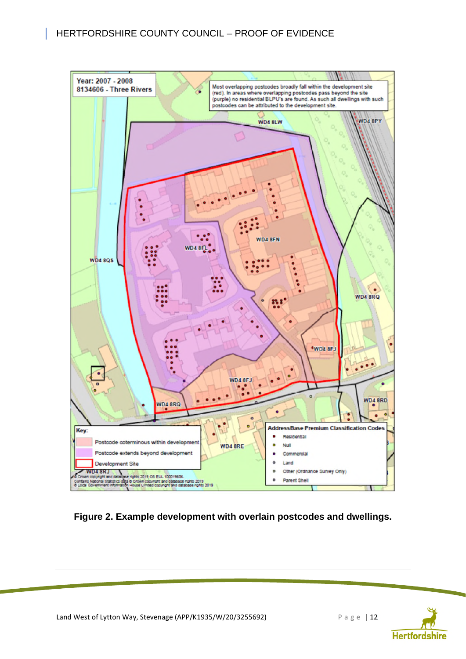I



**Figure 2. Example development with overlain postcodes and dwellings.** 

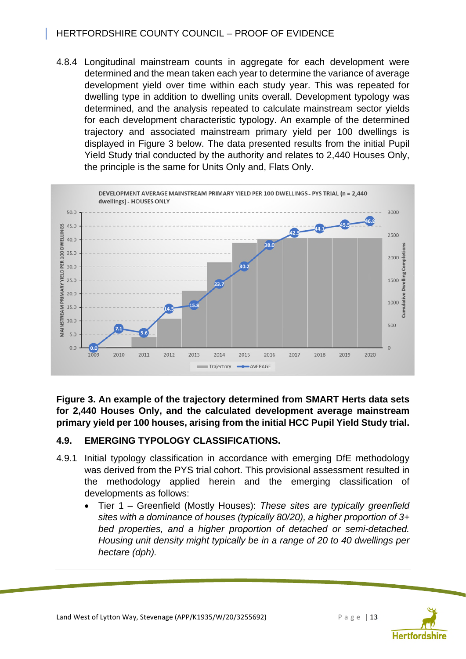## HERTFORDSHIRE COUNTY COUNCIL – PROOF OF EVIDENCE

4.8.4 Longitudinal mainstream counts in aggregate for each development were determined and the mean taken each year to determine the variance of average development yield over time within each study year. This was repeated for dwelling type in addition to dwelling units overall. Development typology was determined, and the analysis repeated to calculate mainstream sector yields for each development characteristic typology. An example of the determined trajectory and associated mainstream primary yield per 100 dwellings is displayed in Figure 3 below. The data presented results from the initial Pupil Yield Study trial conducted by the authority and relates to 2,440 Houses Only, the principle is the same for Units Only and, Flats Only.



**Figure 3. An example of the trajectory determined from SMART Herts data sets for 2,440 Houses Only, and the calculated development average mainstream primary yield per 100 houses, arising from the initial HCC Pupil Yield Study trial.** 

## **4.9. EMERGING TYPOLOGY CLASSIFICATIONS.**

- 4.9.1 Initial typology classification in accordance with emerging DfE methodology was derived from the PYS trial cohort. This provisional assessment resulted in the methodology applied herein and the emerging classification of developments as follows:
	- Tier 1 Greenfield (Mostly Houses): *These sites are typically greenfield sites with a dominance of houses (typically 80/20), a higher proportion of 3+ bed properties, and a higher proportion of detached or semi-detached. Housing unit density might typically be in a range of 20 to 40 dwellings per hectare (dph).*

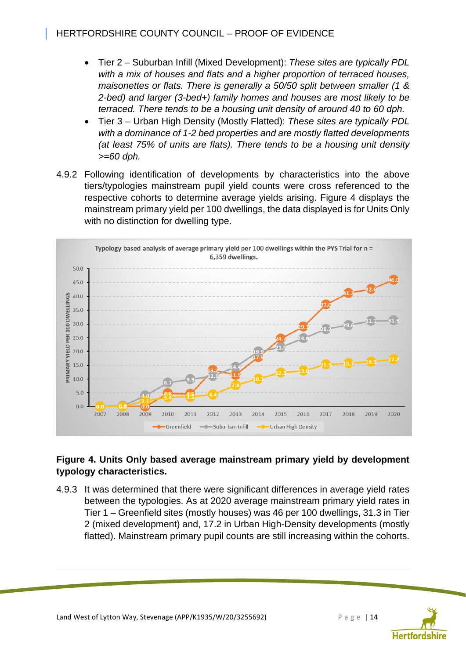- Tier 2 Suburban Infill (Mixed Development): *These sites are typically PDL with a mix of houses and flats and a higher proportion of terraced houses, maisonettes or flats. There is generally a 50/50 split between smaller (1 & 2-bed) and larger (3-bed+) family homes and houses are most likely to be terraced. There tends to be a housing unit density of around 40 to 60 dph.*
- Tier 3 Urban High Density (Mostly Flatted): *These sites are typically PDL with a dominance of 1-2 bed properties and are mostly flatted developments (at least 75% of units are flats). There tends to be a housing unit density >=60 dph.*
- 4.9.2 Following identification of developments by characteristics into the above tiers/typologies mainstream pupil yield counts were cross referenced to the respective cohorts to determine average yields arising. Figure 4 displays the mainstream primary yield per 100 dwellings, the data displayed is for Units Only with no distinction for dwelling type.



## **Figure 4. Units Only based average mainstream primary yield by development typology characteristics.**

4.9.3 It was determined that there were significant differences in average yield rates between the typologies. As at 2020 average mainstream primary yield rates in Tier 1 – Greenfield sites (mostly houses) was 46 per 100 dwellings, 31.3 in Tier 2 (mixed development) and, 17.2 in Urban High-Density developments (mostly flatted). Mainstream primary pupil counts are still increasing within the cohorts.

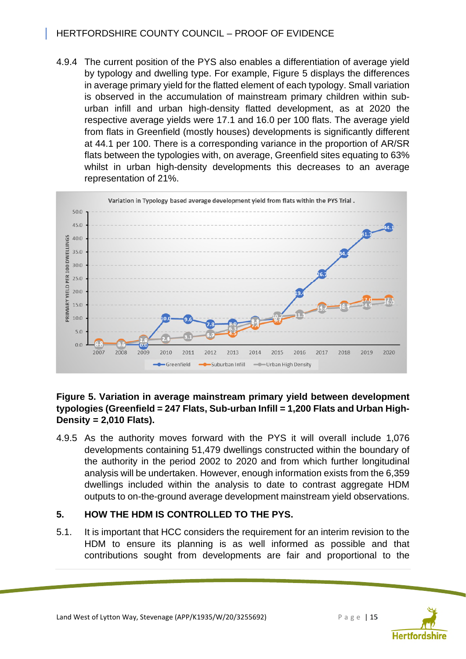## HERTFORDSHIRE COUNTY COUNCIL – PROOF OF EVIDENCE

4.9.4 The current position of the PYS also enables a differentiation of average yield by typology and dwelling type. For example, Figure 5 displays the differences in average primary yield for the flatted element of each typology. Small variation is observed in the accumulation of mainstream primary children within suburban infill and urban high-density flatted development, as at 2020 the respective average yields were 17.1 and 16.0 per 100 flats. The average yield from flats in Greenfield (mostly houses) developments is significantly different at 44.1 per 100. There is a corresponding variance in the proportion of AR/SR flats between the typologies with, on average, Greenfield sites equating to 63% whilst in urban high-density developments this decreases to an average representation of 21%.



#### **Figure 5. Variation in average mainstream primary yield between development typologies (Greenfield = 247 Flats, Sub-urban Infill = 1,200 Flats and Urban High-Density = 2,010 Flats).**

4.9.5 As the authority moves forward with the PYS it will overall include 1,076 developments containing 51,479 dwellings constructed within the boundary of the authority in the period 2002 to 2020 and from which further longitudinal analysis will be undertaken. However, enough information exists from the 6,359 dwellings included within the analysis to date to contrast aggregate HDM outputs to on-the-ground average development mainstream yield observations.

## **5. HOW THE HDM IS CONTROLLED TO THE PYS.**

5.1. It is important that HCC considers the requirement for an interim revision to the HDM to ensure its planning is as well informed as possible and that contributions sought from developments are fair and proportional to the

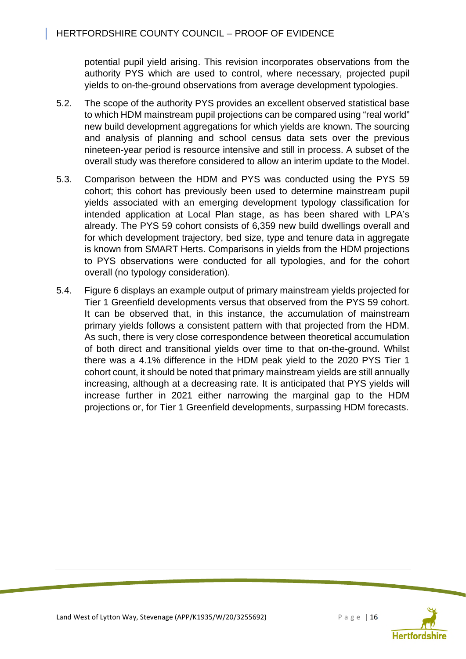potential pupil yield arising. This revision incorporates observations from the authority PYS which are used to control, where necessary, projected pupil yields to on-the-ground observations from average development typologies.

- 5.2. The scope of the authority PYS provides an excellent observed statistical base to which HDM mainstream pupil projections can be compared using "real world" new build development aggregations for which yields are known. The sourcing and analysis of planning and school census data sets over the previous nineteen-year period is resource intensive and still in process. A subset of the overall study was therefore considered to allow an interim update to the Model.
- 5.3. Comparison between the HDM and PYS was conducted using the PYS 59 cohort; this cohort has previously been used to determine mainstream pupil yields associated with an emerging development typology classification for intended application at Local Plan stage, as has been shared with LPA's already. The PYS 59 cohort consists of 6,359 new build dwellings overall and for which development trajectory, bed size, type and tenure data in aggregate is known from SMART Herts. Comparisons in yields from the HDM projections to PYS observations were conducted for all typologies, and for the cohort overall (no typology consideration).
- 5.4. Figure 6 displays an example output of primary mainstream yields projected for Tier 1 Greenfield developments versus that observed from the PYS 59 cohort. It can be observed that, in this instance, the accumulation of mainstream primary yields follows a consistent pattern with that projected from the HDM. As such, there is very close correspondence between theoretical accumulation of both direct and transitional yields over time to that on-the-ground. Whilst there was a 4.1% difference in the HDM peak yield to the 2020 PYS Tier 1 cohort count, it should be noted that primary mainstream yields are still annually increasing, although at a decreasing rate. It is anticipated that PYS yields will increase further in 2021 either narrowing the marginal gap to the HDM projections or, for Tier 1 Greenfield developments, surpassing HDM forecasts.

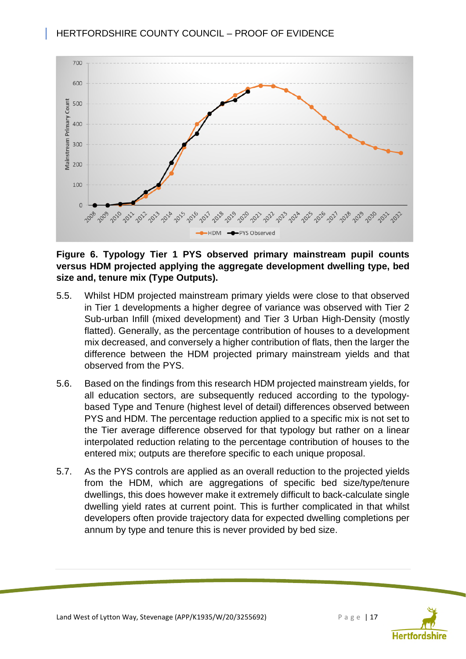

**Figure 6. Typology Tier 1 PYS observed primary mainstream pupil counts versus HDM projected applying the aggregate development dwelling type, bed size and, tenure mix (Type Outputs).** 

- 5.5. Whilst HDM projected mainstream primary yields were close to that observed in Tier 1 developments a higher degree of variance was observed with Tier 2 Sub-urban Infill (mixed development) and Tier 3 Urban High-Density (mostly flatted). Generally, as the percentage contribution of houses to a development mix decreased, and conversely a higher contribution of flats, then the larger the difference between the HDM projected primary mainstream yields and that observed from the PYS.
- 5.6. Based on the findings from this research HDM projected mainstream yields, for all education sectors, are subsequently reduced according to the typologybased Type and Tenure (highest level of detail) differences observed between PYS and HDM. The percentage reduction applied to a specific mix is not set to the Tier average difference observed for that typology but rather on a linear interpolated reduction relating to the percentage contribution of houses to the entered mix; outputs are therefore specific to each unique proposal.
- 5.7. As the PYS controls are applied as an overall reduction to the projected yields from the HDM, which are aggregations of specific bed size/type/tenure dwellings, this does however make it extremely difficult to back-calculate single dwelling yield rates at current point. This is further complicated in that whilst developers often provide trajectory data for expected dwelling completions per annum by type and tenure this is never provided by bed size.



Land West of Lytton Way, Stevenage (APP/K1935/W/20/3255692) Page | 17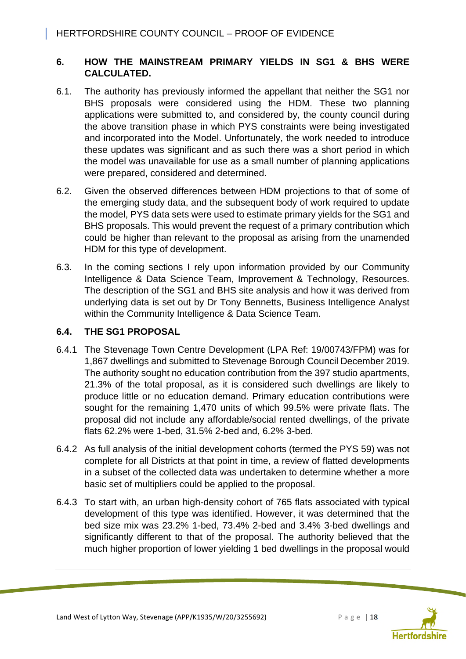## **6. HOW THE MAINSTREAM PRIMARY YIELDS IN SG1 & BHS WERE CALCULATED.**

- 6.1. The authority has previously informed the appellant that neither the SG1 nor BHS proposals were considered using the HDM. These two planning applications were submitted to, and considered by, the county council during the above transition phase in which PYS constraints were being investigated and incorporated into the Model. Unfortunately, the work needed to introduce these updates was significant and as such there was a short period in which the model was unavailable for use as a small number of planning applications were prepared, considered and determined.
- 6.2. Given the observed differences between HDM projections to that of some of the emerging study data, and the subsequent body of work required to update the model, PYS data sets were used to estimate primary yields for the SG1 and BHS proposals. This would prevent the request of a primary contribution which could be higher than relevant to the proposal as arising from the unamended HDM for this type of development.
- 6.3. In the coming sections I rely upon information provided by our Community Intelligence & Data Science Team, Improvement & Technology, Resources. The description of the SG1 and BHS site analysis and how it was derived from underlying data is set out by Dr Tony Bennetts, Business Intelligence Analyst within the Community Intelligence & Data Science Team.

## **6.4. THE SG1 PROPOSAL**

- 6.4.1 The Stevenage Town Centre Development (LPA Ref: 19/00743/FPM) was for 1,867 dwellings and submitted to Stevenage Borough Council December 2019. The authority sought no education contribution from the 397 studio apartments, 21.3% of the total proposal, as it is considered such dwellings are likely to produce little or no education demand. Primary education contributions were sought for the remaining 1,470 units of which 99.5% were private flats. The proposal did not include any affordable/social rented dwellings, of the private flats 62.2% were 1-bed, 31.5% 2-bed and, 6.2% 3-bed.
- 6.4.2 As full analysis of the initial development cohorts (termed the PYS 59) was not complete for all Districts at that point in time, a review of flatted developments in a subset of the collected data was undertaken to determine whether a more basic set of multipliers could be applied to the proposal.
- 6.4.3 To start with, an urban high-density cohort of 765 flats associated with typical development of this type was identified. However, it was determined that the bed size mix was 23.2% 1-bed, 73.4% 2-bed and 3.4% 3-bed dwellings and significantly different to that of the proposal. The authority believed that the much higher proportion of lower yielding 1 bed dwellings in the proposal would

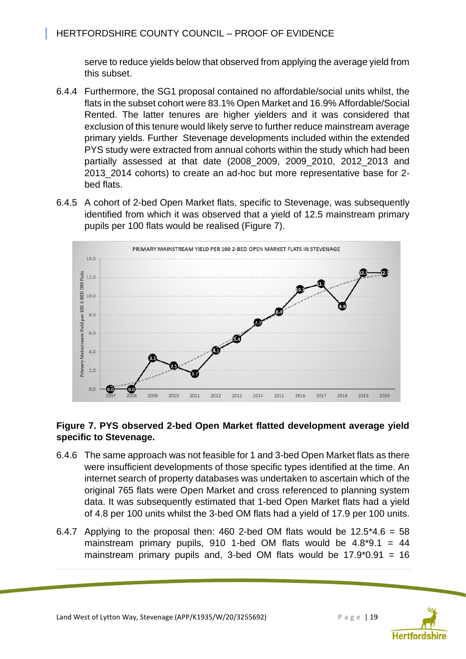serve to reduce yields below that observed from applying the average yield from this subset.

- 6.4.4 Furthermore, the SG1 proposal contained no affordable/social units whilst, the flats in the subset cohort were 83.1% Open Market and 16.9% Affordable/Social Rented. The latter tenures are higher yielders and it was considered that exclusion of this tenure would likely serve to further reduce mainstream average primary yields. Further Stevenage developments included within the extended PYS study were extracted from annual cohorts within the study which had been partially assessed at that date (2008\_2009, 2009\_2010, 2012\_2013 and 2013\_2014 cohorts) to create an ad-hoc but more representative base for 2 bed flats.
- 6.4.5 A cohort of 2-bed Open Market flats, specific to Stevenage, was subsequently identified from which it was observed that a yield of 12.5 mainstream primary pupils per 100 flats would be realised (Figure 7).



## **Figure 7. PYS observed 2-bed Open Market flatted development average yield specific to Stevenage.**

- 6.4.6 The same approach was not feasible for 1 and 3-bed Open Market flats as there were insufficient developments of those specific types identified at the time. An internet search of property databases was undertaken to ascertain which of the original 765 flats were Open Market and cross referenced to planning system data. It was subsequently estimated that 1-bed Open Market flats had a yield of 4.8 per 100 units whilst the 3-bed OM flats had a yield of 17.9 per 100 units.
- 6.4.7 Applying to the proposal then: 460 2-bed OM flats would be  $12.5*4.6 = 58$ mainstream primary pupils, 910 1-bed OM flats would be  $4.8*9.1 = 44$ mainstream primary pupils and, 3-bed OM flats would be  $17.9^{\circ}0.91 = 16$



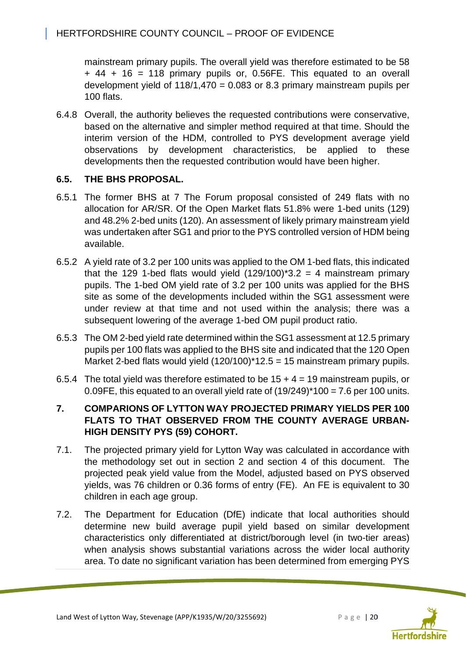mainstream primary pupils. The overall yield was therefore estimated to be 58 + 44 + 16 = 118 primary pupils or, 0.56FE. This equated to an overall development yield of  $118/1,470 = 0.083$  or 8.3 primary mainstream pupils per 100 flats.

6.4.8 Overall, the authority believes the requested contributions were conservative, based on the alternative and simpler method required at that time. Should the interim version of the HDM, controlled to PYS development average yield observations by development characteristics, be applied to these developments then the requested contribution would have been higher.

## **6.5. THE BHS PROPOSAL.**

- 6.5.1 The former BHS at 7 The Forum proposal consisted of 249 flats with no allocation for AR/SR. Of the Open Market flats 51.8% were 1-bed units (129) and 48.2% 2-bed units (120). An assessment of likely primary mainstream yield was undertaken after SG1 and prior to the PYS controlled version of HDM being available.
- 6.5.2 A yield rate of 3.2 per 100 units was applied to the OM 1-bed flats, this indicated that the 129 1-bed flats would yield  $(129/100)^*$ 3.2 = 4 mainstream primary pupils. The 1-bed OM yield rate of 3.2 per 100 units was applied for the BHS site as some of the developments included within the SG1 assessment were under review at that time and not used within the analysis; there was a subsequent lowering of the average 1-bed OM pupil product ratio.
- 6.5.3 The OM 2-bed yield rate determined within the SG1 assessment at 12.5 primary pupils per 100 flats was applied to the BHS site and indicated that the 120 Open Market 2-bed flats would yield  $(120/100)^*12.5 = 15$  mainstream primary pupils.
- 6.5.4 The total yield was therefore estimated to be  $15 + 4 = 19$  mainstream pupils, or 0.09FE, this equated to an overall yield rate of  $(19/249)$ <sup>\*</sup>100 = 7.6 per 100 units.

## **7. COMPARIONS OF LYTTON WAY PROJECTED PRIMARY YIELDS PER 100 FLATS TO THAT OBSERVED FROM THE COUNTY AVERAGE URBAN-HIGH DENSITY PYS (59) COHORT.**

- 7.1. The projected primary yield for Lytton Way was calculated in accordance with the methodology set out in section 2 and section 4 of this document. The projected peak yield value from the Model, adjusted based on PYS observed yields, was 76 children or 0.36 forms of entry (FE). An FE is equivalent to 30 children in each age group.
- 7.2. The Department for Education (DfE) indicate that local authorities should determine new build average pupil yield based on similar development characteristics only differentiated at district/borough level (in two-tier areas) when analysis shows substantial variations across the wider local authority area. To date no significant variation has been determined from emerging PYS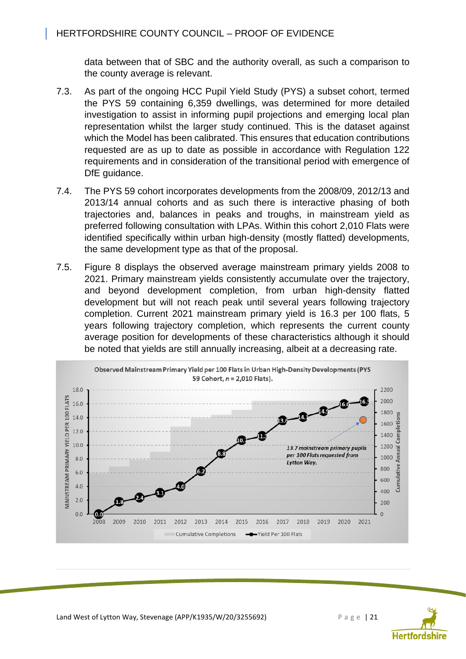data between that of SBC and the authority overall, as such a comparison to the county average is relevant.

- 7.3. As part of the ongoing HCC Pupil Yield Study (PYS) a subset cohort, termed the PYS 59 containing 6,359 dwellings, was determined for more detailed investigation to assist in informing pupil projections and emerging local plan representation whilst the larger study continued. This is the dataset against which the Model has been calibrated. This ensures that education contributions requested are as up to date as possible in accordance with Regulation 122 requirements and in consideration of the transitional period with emergence of DfE guidance.
- 7.4. The PYS 59 cohort incorporates developments from the 2008/09, 2012/13 and 2013/14 annual cohorts and as such there is interactive phasing of both trajectories and, balances in peaks and troughs, in mainstream yield as preferred following consultation with LPAs. Within this cohort 2,010 Flats were identified specifically within urban high-density (mostly flatted) developments, the same development type as that of the proposal.
- 7.5. Figure 8 displays the observed average mainstream primary yields 2008 to 2021. Primary mainstream yields consistently accumulate over the trajectory, and beyond development completion, from urban high-density flatted development but will not reach peak until several years following trajectory completion. Current 2021 mainstream primary yield is 16.3 per 100 flats, 5 years following trajectory completion, which represents the current county average position for developments of these characteristics although it should be noted that yields are still annually increasing, albeit at a decreasing rate.



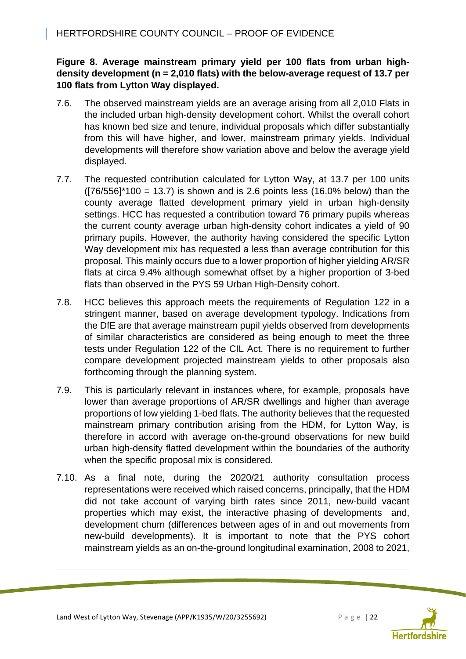## **Figure 8. Average mainstream primary yield per 100 flats from urban highdensity development (n = 2,010 flats) with the below-average request of 13.7 per 100 flats from Lytton Way displayed.**

- 7.6. The observed mainstream yields are an average arising from all 2,010 Flats in the included urban high-density development cohort. Whilst the overall cohort has known bed size and tenure, individual proposals which differ substantially from this will have higher, and lower, mainstream primary yields. Individual developments will therefore show variation above and below the average yield displayed.
- 7.7. The requested contribution calculated for Lytton Way, at 13.7 per 100 units  $([76/556]^*100 = 13.7)$  is shown and is 2.6 points less (16.0% below) than the county average flatted development primary yield in urban high-density settings. HCC has requested a contribution toward 76 primary pupils whereas the current county average urban high-density cohort indicates a yield of 90 primary pupils. However, the authority having considered the specific Lytton Way development mix has requested a less than average contribution for this proposal. This mainly occurs due to a lower proportion of higher yielding AR/SR flats at circa 9.4% although somewhat offset by a higher proportion of 3-bed flats than observed in the PYS 59 Urban High-Density cohort.
- 7.8. HCC believes this approach meets the requirements of Regulation 122 in a stringent manner, based on average development typology. Indications from the DfE are that average mainstream pupil yields observed from developments of similar characteristics are considered as being enough to meet the three tests under Regulation 122 of the CIL Act. There is no requirement to further compare development projected mainstream yields to other proposals also forthcoming through the planning system.
- 7.9. This is particularly relevant in instances where, for example, proposals have lower than average proportions of AR/SR dwellings and higher than average proportions of low yielding 1-bed flats. The authority believes that the requested mainstream primary contribution arising from the HDM, for Lytton Way, is therefore in accord with average on-the-ground observations for new build urban high-density flatted development within the boundaries of the authority when the specific proposal mix is considered.
- 7.10. As a final note, during the 2020/21 authority consultation process representations were received which raised concerns, principally, that the HDM did not take account of varying birth rates since 2011, new-build vacant properties which may exist, the interactive phasing of developments and, development churn (differences between ages of in and out movements from new-build developments). It is important to note that the PYS cohort mainstream yields as an on-the-ground longitudinal examination, 2008 to 2021,

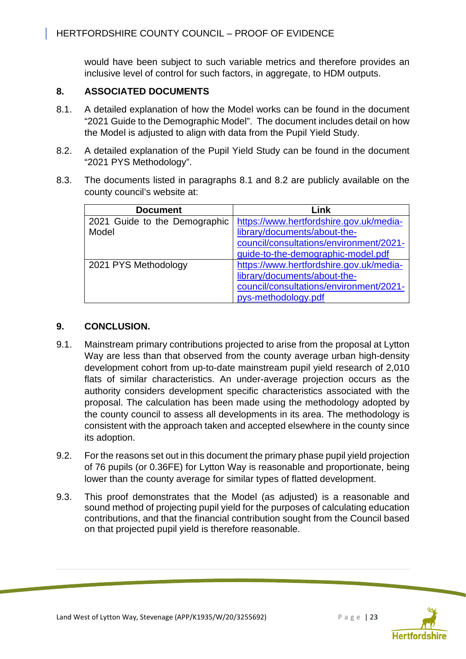would have been subject to such variable metrics and therefore provides an inclusive level of control for such factors, in aggregate, to HDM outputs.

## **8. ASSOCIATED DOCUMENTS**

- 8.1. A detailed explanation of how the Model works can be found in the document "2021 Guide to the Demographic Model". The document includes detail on how the Model is adjusted to align with data from the Pupil Yield Study.
- 8.2. A detailed explanation of the Pupil Yield Study can be found in the document "2021 PYS Methodology".
- 8.3. The documents listed in paragraphs 8.1 and 8.2 are publicly available on the county council's website at:

| <b>Document</b>               | Link                                    |
|-------------------------------|-----------------------------------------|
| 2021 Guide to the Demographic | https://www.hertfordshire.gov.uk/media- |
| Model                         | library/documents/about-the-            |
|                               | council/consultations/environment/2021- |
|                               | guide-to-the-demographic-model.pdf      |
| 2021 PYS Methodology          | https://www.hertfordshire.gov.uk/media- |
|                               | library/documents/about-the-            |
|                               | council/consultations/environment/2021- |
|                               | pys-methodology.pdf                     |

## **9. CONCLUSION.**

- 9.1. Mainstream primary contributions projected to arise from the proposal at Lytton Way are less than that observed from the county average urban high-density development cohort from up-to-date mainstream pupil yield research of 2,010 flats of similar characteristics. An under-average projection occurs as the authority considers development specific characteristics associated with the proposal. The calculation has been made using the methodology adopted by the county council to assess all developments in its area. The methodology is consistent with the approach taken and accepted elsewhere in the county since its adoption.
- 9.2. For the reasons set out in this document the primary phase pupil yield projection of 76 pupils (or 0.36FE) for Lytton Way is reasonable and proportionate, being lower than the county average for similar types of flatted development.
- 9.3. This proof demonstrates that the Model (as adjusted) is a reasonable and sound method of projecting pupil yield for the purposes of calculating education contributions, and that the financial contribution sought from the Council based on that projected pupil yield is therefore reasonable.